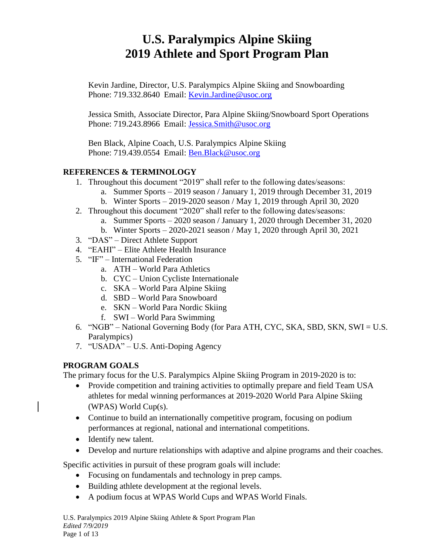# **U.S. Paralympics Alpine Skiing 2019 Athlete and Sport Program Plan**

Kevin Jardine, Director, U.S. Paralympics Alpine Skiing and Snowboarding Phone: 719.332.8640 Email: [Kevin.Jardine@usoc.org](mailto:Kevin.Jardine@usoc.org) 

Jessica Smith, Associate Director, Para Alpine Skiing/Snowboard Sport Operations Phone: 719.243.8966 Email: Jessica.Smith@usoc.org

Ben Black, Alpine Coach, U.S. Paralympics Alpine Skiing Phone: 719.439.0554 Email: Ben.Black@usoc.org

## **REFERENCES & TERMINOLOGY**

- 1. Throughout this document "2019" shall refer to the following dates/seasons:
	- a. Summer Sports 2019 season / January 1, 2019 through December 31, 2019
	- b. Winter Sports 2019-2020 season / May 1, 2019 through April 30, 2020
- 2. Throughout this document "2020" shall refer to the following dates/seasons:
	- a. Summer Sports 2020 season / January 1, 2020 through December 31, 2020
	- b. Winter Sports 2020-2021 season / May 1, 2020 through April 30, 2021
- 3. "DAS" Direct Athlete Support
- 4. "EAHI" Elite Athlete Health Insurance
- 5. "IF" International Federation
	- a. ATH World Para Athletics
	- b. CYC Union Cycliste Internationale
	- c. SKA World Para Alpine Skiing
	- d. SBD World Para Snowboard
	- e. SKN World Para Nordic Skiing
	- f. SWI World Para Swimming
- 6. "NGB" National Governing Body (for Para ATH, CYC, SKA, SBD, SKN, SWI = U.S. Paralympics)
- 7. "USADA" U.S. Anti-Doping Agency

## **PROGRAM GOALS**

The primary focus for the U.S. Paralympics Alpine Skiing Program in 2019-2020 is to:

- Provide competition and training activities to optimally prepare and field Team USA athletes for medal winning performances at 2019-2020 World Para Alpine Skiing (WPAS) World Cup(s).
- Continue to build an internationally competitive program, focusing on podium performances at regional, national and international competitions.
- Identify new talent.
- Develop and nurture relationships with adaptive and alpine programs and their coaches.

Specific activities in pursuit of these program goals will include:

- Focusing on fundamentals and technology in prep camps.
- Building athlete development at the regional levels.
- A podium focus at WPAS World Cups and WPAS World Finals.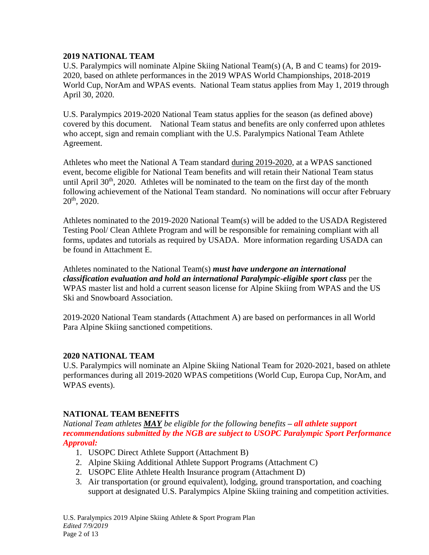## **2019 NATIONAL TEAM**

U.S. Paralympics will nominate Alpine Skiing National Team(s) (A, B and C teams) for 2019- 2020, based on athlete performances in the 2019 WPAS World Championships, 2018-2019 World Cup, NorAm and WPAS events. National Team status applies from May 1, 2019 through April 30, 2020.

U.S. Paralympics 2019-2020 National Team status applies for the season (as defined above) covered by this document. National Team status and benefits are only conferred upon athletes who accept, sign and remain compliant with the U.S. Paralympics National Team Athlete Agreement.

Athletes who meet the National A Team standard during 2019-2020, at a WPAS sanctioned event, become eligible for National Team benefits and will retain their National Team status until April  $30<sup>th</sup>$ ,  $2020$ . Athletes will be nominated to the team on the first day of the month following achievement of the National Team standard. No nominations will occur after February  $20^{th}$ ,  $2020$ .

Athletes nominated to the 2019-2020 National Team(s) will be added to the USADA Registered Testing Pool/ Clean Athlete Program and will be responsible for remaining compliant with all forms, updates and tutorials as required by USADA. More information regarding USADA can be found in Attachment E.

Athletes nominated to the National Team(s) *must have undergone an international classification evaluation and hold an international Paralympic-eligible sport class* per the WPAS master list and hold a current season license for Alpine Skiing from WPAS and the US Ski and Snowboard Association.

2019-2020 National Team standards (Attachment A) are based on performances in all World Para Alpine Skiing sanctioned competitions.

## **2020 NATIONAL TEAM**

U.S. Paralympics will nominate an Alpine Skiing National Team for 2020-2021, based on athlete performances during all 2019-2020 WPAS competitions (World Cup, Europa Cup, NorAm, and WPAS events).

## **NATIONAL TEAM BENEFITS**

*National Team athletes MAY be eligible for the following benefits – all athlete support recommendations submitted by the NGB are subject to USOPC Paralympic Sport Performance Approval:*

- 1. USOPC Direct Athlete Support (Attachment B)
- 2. Alpine Skiing Additional Athlete Support Programs (Attachment C)
- 2. USOPC Elite Athlete Health Insurance program (Attachment D)
- 3. Air transportation (or ground equivalent), lodging, ground transportation, and coaching support at designated U.S. Paralympics Alpine Skiing training and competition activities.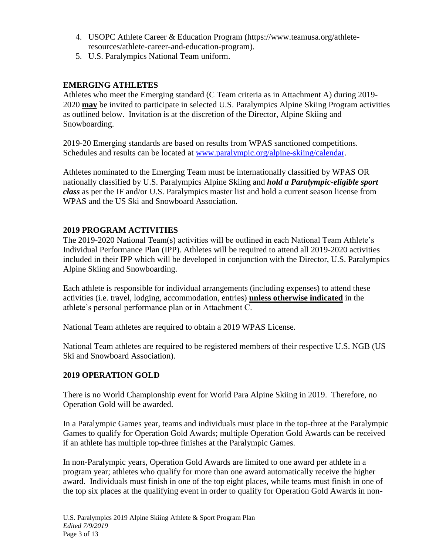- 4. USOPC Athlete Career & Education Program (https://www.teamusa.org/athleteresources/athlete-career-and-education-program).
- 5. U.S. Paralympics National Team uniform.

## **EMERGING ATHLETES**

Athletes who meet the Emerging standard (C Team criteria as in Attachment A) during 2019- 2020 **may** be invited to participate in selected U.S. Paralympics Alpine Skiing Program activities as outlined below. Invitation is at the discretion of the Director, Alpine Skiing and Snowboarding.

2019-20 Emerging standards are based on results from WPAS sanctioned competitions. Schedules and results can be located at [www.paralympic.org/alpine-skiing/calendar.](http://www.paralympic.org/alpine-skiing/calendar)

Athletes nominated to the Emerging Team must be internationally classified by WPAS OR nationally classified by U.S. Paralympics Alpine Skiing and *hold a Paralympic-eligible sport class* as per the IF and/or U.S. Paralympics master list and hold a current season license from WPAS and the US Ski and Snowboard Association.

## **2019 PROGRAM ACTIVITIES**

The 2019-2020 National Team(s) activities will be outlined in each National Team Athlete's Individual Performance Plan (IPP). Athletes will be required to attend all 2019-2020 activities included in their IPP which will be developed in conjunction with the Director, U.S. Paralympics Alpine Skiing and Snowboarding.

Each athlete is responsible for individual arrangements (including expenses) to attend these activities (i.e. travel, lodging, accommodation, entries) **unless otherwise indicated** in the athlete's personal performance plan or in Attachment C.

National Team athletes are required to obtain a 2019 WPAS License.

National Team athletes are required to be registered members of their respective U.S. NGB (US Ski and Snowboard Association).

## **2019 OPERATION GOLD**

There is no World Championship event for World Para Alpine Skiing in 2019. Therefore, no Operation Gold will be awarded.

In a Paralympic Games year, teams and individuals must place in the top-three at the Paralympic Games to qualify for Operation Gold Awards; multiple Operation Gold Awards can be received if an athlete has multiple top-three finishes at the Paralympic Games.

In non-Paralympic years, Operation Gold Awards are limited to one award per athlete in a program year; athletes who qualify for more than one award automatically receive the higher award. Individuals must finish in one of the top eight places, while teams must finish in one of the top six places at the qualifying event in order to qualify for Operation Gold Awards in non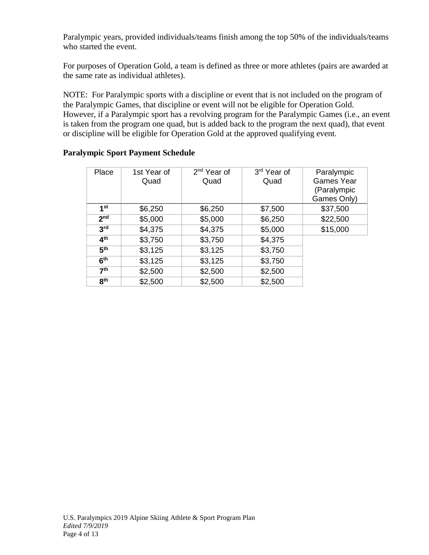Paralympic years, provided individuals/teams finish among the top 50% of the individuals/teams who started the event.

For purposes of Operation Gold, a team is defined as three or more athletes (pairs are awarded at the same rate as individual athletes).

NOTE: For Paralympic sports with a discipline or event that is not included on the program of the Paralympic Games, that discipline or event will not be eligible for Operation Gold. However, if a Paralympic sport has a revolving program for the Paralympic Games (i.e., an event is taken from the program one quad, but is added back to the program the next quad), that event or discipline will be eligible for Operation Gold at the approved qualifying event.

| Place           | 1st Year of<br>Quad | 2 <sup>nd</sup> Year of<br>Quad | 3rd Year of<br>Quad | Paralympic<br><b>Games Year</b><br>(Paralympic<br>Games Only) |
|-----------------|---------------------|---------------------------------|---------------------|---------------------------------------------------------------|
| 1 <sup>st</sup> | \$6,250             | \$6,250                         | \$7,500             | \$37,500                                                      |
| 2 <sub>nd</sub> | \$5,000             | \$5,000                         | \$6,250             | \$22,500                                                      |
| 3 <sup>rd</sup> | \$4,375             | \$4,375                         | \$5,000             | \$15,000                                                      |
| 4 <sup>th</sup> | \$3,750             | \$3,750                         | \$4,375             |                                                               |
| 5 <sup>th</sup> | \$3,125             | \$3,125                         | \$3,750             |                                                               |
| 6 <sup>th</sup> | \$3,125             | \$3,125                         | \$3,750             |                                                               |
| 7 <sup>th</sup> | \$2,500             | \$2,500                         | \$2,500             |                                                               |
| 8 <sup>th</sup> | \$2,500             | \$2,500                         | \$2,500             |                                                               |

## **Paralympic Sport Payment Schedule**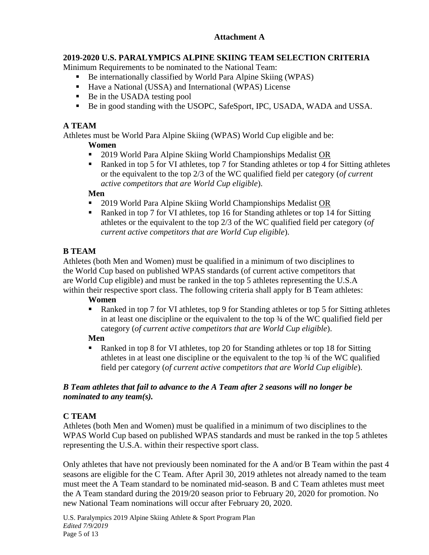# **Attachment A**

# **2019-2020 U.S. PARALYMPICS ALPINE SKIING TEAM SELECTION CRITERIA**

Minimum Requirements to be nominated to the National Team:

- Be internationally classified by World Para Alpine Skiing (WPAS)
- Have a National (USSA) and International (WPAS) License
- Be in the USADA testing pool
- Be in good standing with the USOPC, SafeSport, IPC, USADA, WADA and USSA.

## **A TEAM**

Athletes must be World Para Alpine Skiing (WPAS) World Cup eligible and be:

## **Women**

- 2019 World Para Alpine Skiing World Championships Medalist OR
- Ranked in top 5 for VI athletes, top 7 for Standing athletes or top 4 for Sitting athletes or the equivalent to the top 2/3 of the WC qualified field per category (*of current active competitors that are World Cup eligible*).

## **Men**

- 2019 World Para Alpine Skiing World Championships Medalist OR
- Ranked in top 7 for VI athletes, top 16 for Standing athletes or top 14 for Sitting athletes or the equivalent to the top 2/3 of the WC qualified field per category (*of current active competitors that are World Cup eligible*).

# **B TEAM**

Athletes (both Men and Women) must be qualified in a minimum of two disciplines to the World Cup based on published WPAS standards (of current active competitors that are World Cup eligible) and must be ranked in the top 5 athletes representing the U.S.A within their respective sport class. The following criteria shall apply for B Team athletes:

## **Women**

Ranked in top 7 for VI athletes, top 9 for Standing athletes or top 5 for Sitting athletes in at least one discipline or the equivalent to the top ¾ of the WC qualified field per category (*of current active competitors that are World Cup eligible*).

# **Men**

Ranked in top 8 for VI athletes, top 20 for Standing athletes or top 18 for Sitting athletes in at least one discipline or the equivalent to the top ¾ of the WC qualified field per category (*of current active competitors that are World Cup eligible*).

## *B Team athletes that fail to advance to the A Team after 2 seasons will no longer be nominated to any team(s).*

# **C TEAM**

Athletes (both Men and Women) must be qualified in a minimum of two disciplines to the WPAS World Cup based on published WPAS standards and must be ranked in the top 5 athletes representing the U.S.A. within their respective sport class.

Only athletes that have not previously been nominated for the A and/or B Team within the past 4 seasons are eligible for the C Team. After April 30, 2019 athletes not already named to the team must meet the A Team standard to be nominated mid-season. B and C Team athletes must meet the A Team standard during the 2019/20 season prior to February 20, 2020 for promotion. No new National Team nominations will occur after February 20, 2020.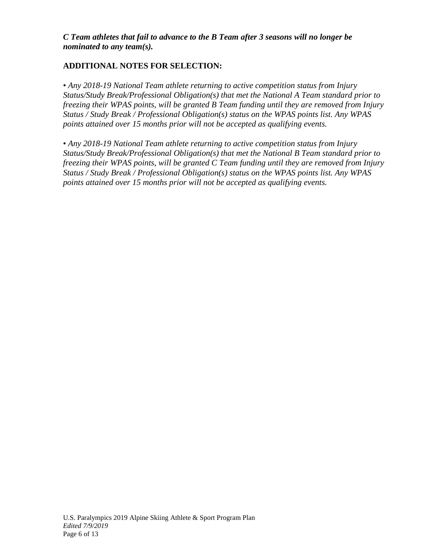## *C Team athletes that fail to advance to the B Team after 3 seasons will no longer be nominated to any team(s).*

# **ADDITIONAL NOTES FOR SELECTION:**

• *Any 2018-19 National Team athlete returning to active competition status from Injury Status/Study Break/Professional Obligation(s) that met the National A Team standard prior to freezing their WPAS points, will be granted B Team funding until they are removed from Injury Status / Study Break / Professional Obligation(s) status on the WPAS points list. Any WPAS points attained over 15 months prior will not be accepted as qualifying events.* 

• *Any 2018-19 National Team athlete returning to active competition status from Injury Status/Study Break/Professional Obligation(s) that met the National B Team standard prior to freezing their WPAS points, will be granted C Team funding until they are removed from Injury Status / Study Break / Professional Obligation(s) status on the WPAS points list. Any WPAS points attained over 15 months prior will not be accepted as qualifying events.*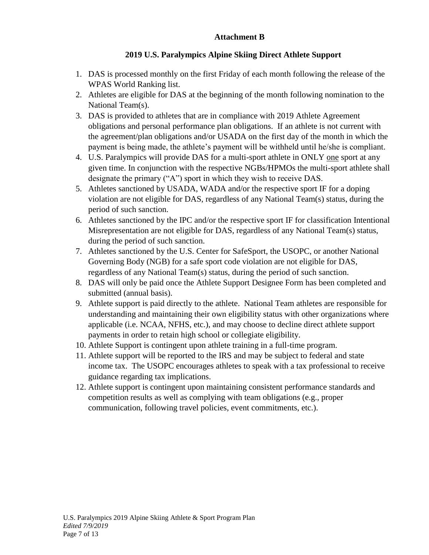## **Attachment B**

# **2019 U.S. Paralympics Alpine Skiing Direct Athlete Support**

- 1. DAS is processed monthly on the first Friday of each month following the release of the WPAS World Ranking list.
- 2. Athletes are eligible for DAS at the beginning of the month following nomination to the National Team(s).
- 3. DAS is provided to athletes that are in compliance with 2019 Athlete Agreement obligations and personal performance plan obligations. If an athlete is not current with the agreement/plan obligations and/or USADA on the first day of the month in which the payment is being made, the athlete's payment will be withheld until he/she is compliant.
- 4. U.S. Paralympics will provide DAS for a multi-sport athlete in ONLY one sport at any given time. In conjunction with the respective NGBs/HPMOs the multi-sport athlete shall designate the primary ("A") sport in which they wish to receive DAS.
- 5. Athletes sanctioned by USADA, WADA and/or the respective sport IF for a doping violation are not eligible for DAS, regardless of any National Team(s) status, during the period of such sanction.
- 6. Athletes sanctioned by the IPC and/or the respective sport IF for classification Intentional Misrepresentation are not eligible for DAS, regardless of any National Team(s) status, during the period of such sanction.
- 7. Athletes sanctioned by the U.S. Center for SafeSport, the USOPC, or another National Governing Body (NGB) for a safe sport code violation are not eligible for DAS, regardless of any National Team(s) status, during the period of such sanction.
- 8. DAS will only be paid once the Athlete Support Designee Form has been completed and submitted (annual basis).
- 9. Athlete support is paid directly to the athlete. National Team athletes are responsible for understanding and maintaining their own eligibility status with other organizations where applicable (i.e. NCAA, NFHS, etc.), and may choose to decline direct athlete support payments in order to retain high school or collegiate eligibility.
- 10. Athlete Support is contingent upon athlete training in a full-time program.
- 11. Athlete support will be reported to the IRS and may be subject to federal and state income tax. The USOPC encourages athletes to speak with a tax professional to receive guidance regarding tax implications.
- 12. Athlete support is contingent upon maintaining consistent performance standards and competition results as well as complying with team obligations (e.g., proper communication, following travel policies, event commitments, etc.).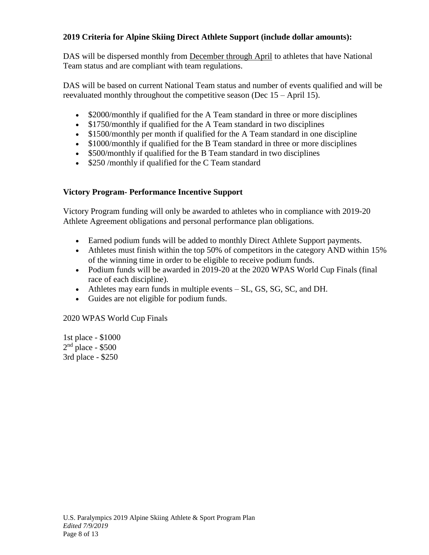## **2019 Criteria for Alpine Skiing Direct Athlete Support (include dollar amounts):**

DAS will be dispersed monthly from December through April to athletes that have National Team status and are compliant with team regulations.

DAS will be based on current National Team status and number of events qualified and will be reevaluated monthly throughout the competitive season (Dec 15 – April 15).

- \$2000/monthly if qualified for the A Team standard in three or more disciplines
- \$1750/monthly if qualified for the A Team standard in two disciplines
- \$1500/monthly per month if qualified for the A Team standard in one discipline
- \$1000/monthly if qualified for the B Team standard in three or more disciplines
- \$500/monthly if qualified for the B Team standard in two disciplines
- \$250 /monthly if qualified for the C Team standard

## **Victory Program- Performance Incentive Support**

Victory Program funding will only be awarded to athletes who in compliance with 2019-20 Athlete Agreement obligations and personal performance plan obligations.

- Earned podium funds will be added to monthly Direct Athlete Support payments.
- Athletes must finish within the top 50% of competitors in the category AND within 15% of the winning time in order to be eligible to receive podium funds.
- Podium funds will be awarded in 2019-20 at the 2020 WPAS World Cup Finals (final race of each discipline).
- Athletes may earn funds in multiple events SL, GS, SG, SC, and DH.
- Guides are not eligible for podium funds.

2020 WPAS World Cup Finals

1st place - \$1000  $2<sup>nd</sup>$  place - \$500 3rd place - \$250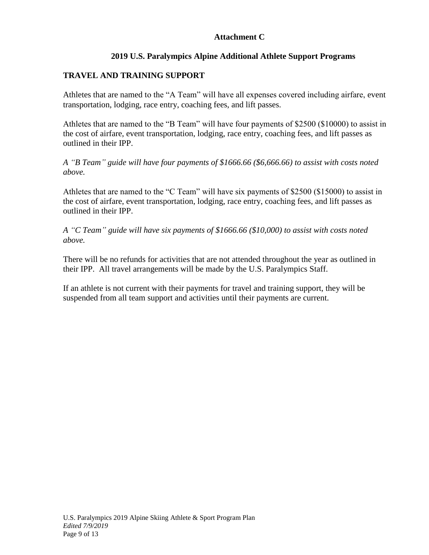## **Attachment C**

# **2019 U.S. Paralympics Alpine Additional Athlete Support Programs**

# **TRAVEL AND TRAINING SUPPORT**

Athletes that are named to the "A Team" will have all expenses covered including airfare, event transportation, lodging, race entry, coaching fees, and lift passes.

Athletes that are named to the "B Team" will have four payments of \$2500 (\$10000) to assist in the cost of airfare, event transportation, lodging, race entry, coaching fees, and lift passes as outlined in their IPP.

*A "B Team" guide will have four payments of \$1666.66 (\$6,666.66) to assist with costs noted above.*

Athletes that are named to the "C Team" will have six payments of \$2500 (\$15000) to assist in the cost of airfare, event transportation, lodging, race entry, coaching fees, and lift passes as outlined in their IPP.

*A "C Team" guide will have six payments of \$1666.66 (\$10,000) to assist with costs noted above.*

There will be no refunds for activities that are not attended throughout the year as outlined in their IPP. All travel arrangements will be made by the U.S. Paralympics Staff.

If an athlete is not current with their payments for travel and training support, they will be suspended from all team support and activities until their payments are current.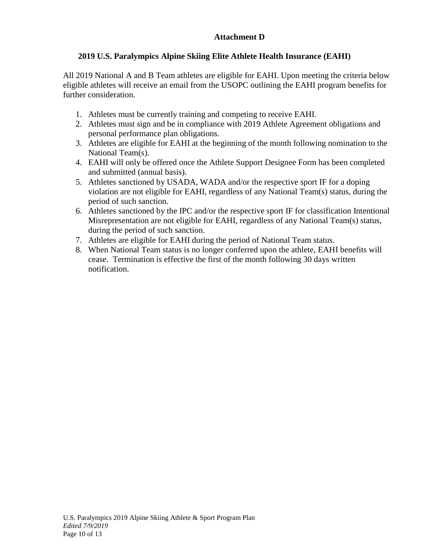# **Attachment D**

# **2019 U.S. Paralympics Alpine Skiing Elite Athlete Health Insurance (EAHI)**

All 2019 National A and B Team athletes are eligible for EAHI. Upon meeting the criteria below eligible athletes will receive an email from the USOPC outlining the EAHI program benefits for further consideration.

- 1. Athletes must be currently training and competing to receive EAHI.
- 2. Athletes must sign and be in compliance with 2019 Athlete Agreement obligations and personal performance plan obligations.
- 3. Athletes are eligible for EAHI at the beginning of the month following nomination to the National Team(s).
- 4. EAHI will only be offered once the Athlete Support Designee Form has been completed and submitted (annual basis).
- 5. Athletes sanctioned by USADA, WADA and/or the respective sport IF for a doping violation are not eligible for EAHI, regardless of any National Team(s) status, during the period of such sanction.
- 6. Athletes sanctioned by the IPC and/or the respective sport IF for classification Intentional Misrepresentation are not eligible for EAHI, regardless of any National Team(s) status, during the period of such sanction.
- 7. Athletes are eligible for EAHI during the period of National Team status.
- 8. When National Team status is no longer conferred upon the athlete, EAHI benefits will cease. Termination is effective the first of the month following 30 days written notification.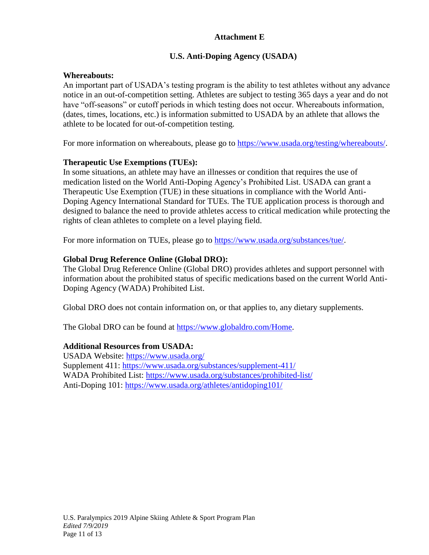## **Attachment E**

# **U.S. Anti-Doping Agency (USADA)**

## **Whereabouts:**

An important part of USADA's testing program is the ability to test athletes without any advance notice in an out-of-competition setting. Athletes are subject to testing 365 days a year and do not have "off-seasons" or cutoff periods in which testing does not occur. Whereabouts information, (dates, times, locations, etc.) is information submitted to USADA by an athlete that allows the athlete to be located for out-of-competition testing.

For more information on whereabouts, please go to [https://www.usada.org/testing/whereabouts/.](https://www.usada.org/testing/whereabouts/)

## **Therapeutic Use Exemptions (TUEs):**

In some situations, an athlete may have an illnesses or condition that requires the use of medication listed on the World Anti-Doping Agency's Prohibited List. USADA can grant a Therapeutic Use Exemption (TUE) in these situations in compliance with the World Anti-Doping Agency International Standard for TUEs. The TUE application process is thorough and designed to balance the need to provide athletes access to critical medication while protecting the rights of clean athletes to complete on a level playing field.

For more information on TUEs, please go to [https://www.usada.org/substances/tue/.](https://www.usada.org/substances/tue/)

## **Global Drug Reference Online (Global DRO):**

The Global Drug Reference Online (Global DRO) provides athletes and support personnel with information about the prohibited status of specific medications based on the current World Anti-Doping Agency (WADA) Prohibited List.

Global DRO does not contain information on, or that applies to, any dietary supplements.

The Global DRO can be found at [https://www.globaldro.com/Home.](https://www.globaldro.com/Home)

## **Additional Resources from USADA:**

USADA Website:<https://www.usada.org/> Supplement 411:<https://www.usada.org/substances/supplement-411/> WADA Prohibited List:<https://www.usada.org/substances/prohibited-list/> Anti-Doping 101:<https://www.usada.org/athletes/antidoping101/>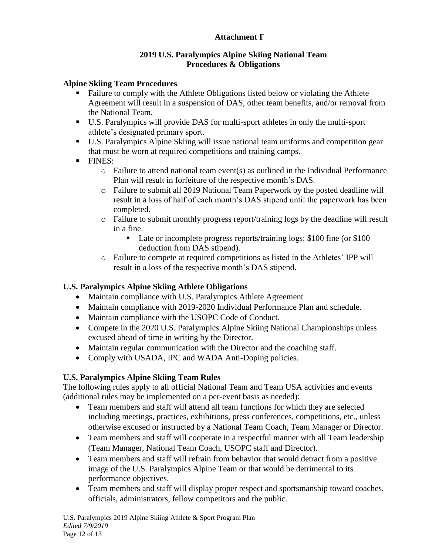# **Attachment F**

## **2019 U.S. Paralympics Alpine Skiing National Team Procedures & Obligations**

## **Alpine Skiing Team Procedures**

- Failure to comply with the Athlete Obligations listed below or violating the Athlete Agreement will result in a suspension of DAS, other team benefits, and/or removal from the National Team.
- U.S. Paralympics will provide DAS for multi-sport athletes in only the multi-sport athlete's designated primary sport.
- U.S. Paralympics Alpine Skiing will issue national team uniforms and competition gear that must be worn at required competitions and training camps.
- FINES:
	- $\circ$  Failure to attend national team event(s) as outlined in the Individual Performance Plan will result in forfeiture of the respective month's DAS.
	- o Failure to submit all 2019 National Team Paperwork by the posted deadline will result in a loss of half of each month's DAS stipend until the paperwork has been completed.
	- o Failure to submit monthly progress report/training logs by the deadline will result in a fine.
		- Late or incomplete progress reports/training logs: \$100 fine (or \$100 deduction from DAS stipend).
	- o Failure to compete at required competitions as listed in the Athletes' IPP will result in a loss of the respective month's DAS stipend.

# **U.S. Paralympics Alpine Skiing Athlete Obligations**

- Maintain compliance with U.S. Paralympics Athlete Agreement
- Maintain compliance with 2019-2020 Individual Performance Plan and schedule.
- Maintain compliance with the USOPC Code of Conduct.
- Compete in the 2020 U.S. Paralympics Alpine Skiing National Championships unless excused ahead of time in writing by the Director.
- Maintain regular communication with the Director and the coaching staff.
- Comply with USADA, IPC and WADA Anti-Doping policies.

# **U.S. Paralympics Alpine Skiing Team Rules**

The following rules apply to all official National Team and Team USA activities and events (additional rules may be implemented on a per-event basis as needed):

- Team members and staff will attend all team functions for which they are selected including meetings, practices, exhibitions, press conferences, competitions, etc., unless otherwise excused or instructed by a National Team Coach, Team Manager or Director.
- Team members and staff will cooperate in a respectful manner with all Team leadership (Team Manager, National Team Coach, USOPC staff and Director).
- Team members and staff will refrain from behavior that would detract from a positive image of the U.S. Paralympics Alpine Team or that would be detrimental to its performance objectives.
- Team members and staff will display proper respect and sportsmanship toward coaches, officials, administrators, fellow competitors and the public.